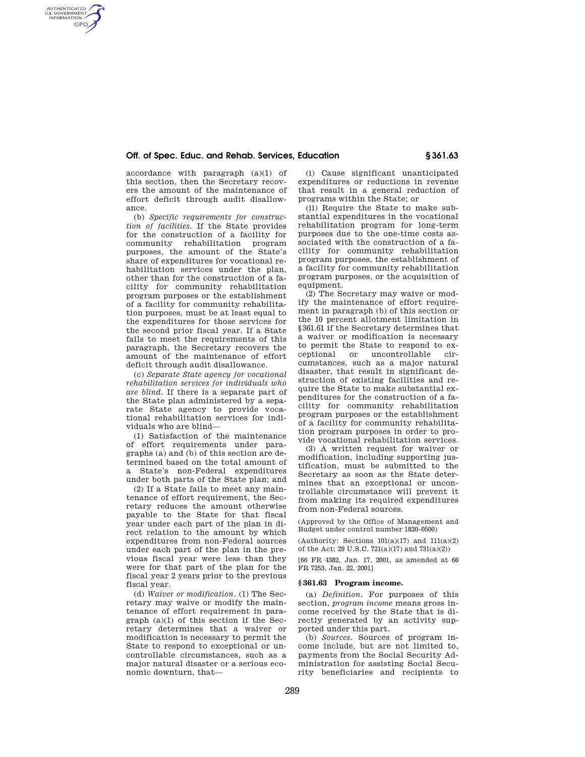# **Off. of Spec. Educ. and Rehab. Services, Education § 361.63**

accordance with paragraph (a)(1) of this section, then the Secretary recovers the amount of the maintenance of effort deficit through audit disallowance.

AUTHENTICATED<br>U.S. GOVERNMENT<br>INFORMATION **GPO** 

> (b) *Specific requirements for construction of facilities.* If the State provides for the construction of a facility for community rehabilitation program purposes, the amount of the State's share of expenditures for vocational rehabilitation services under the plan, other than for the construction of a facility for community rehabilitation program purposes or the establishment of a facility for community rehabilitation purposes, must be at least equal to the expenditures for those services for the second prior fiscal year. If a State fails to meet the requirements of this paragraph, the Secretary recovers the amount of the maintenance of effort deficit through audit disallowance.

> (c) *Separate State agency for vocational rehabilitation services for individuals who are blind.* If there is a separate part of the State plan administered by a separate State agency to provide vocational rehabilitation services for individuals who are blind—

> (1) Satisfaction of the maintenance of effort requirements under paragraphs (a) and (b) of this section are determined based on the total amount of a State's non-Federal expenditures under both parts of the State plan; and

> (2) If a State fails to meet any maintenance of effort requirement, the Secretary reduces the amount otherwise payable to the State for that fiscal year under each part of the plan in direct relation to the amount by which expenditures from non-Federal sources under each part of the plan in the previous fiscal year were less than they were for that part of the plan for the fiscal year 2 years prior to the previous fiscal year.

> (d) *Waiver or modification.* (1) The Secretary may waive or modify the maintenance of effort requirement in para $graph (a)(1)$  of this section if the Secretary determines that a waiver or modification is necessary to permit the State to respond to exceptional or uncontrollable circumstances, such as a major natural disaster or a serious economic downturn, that—

(i) Cause significant unanticipated expenditures or reductions in revenue that result in a general reduction of programs within the State; or

(ii) Require the State to make substantial expenditures in the vocational rehabilitation program for long-term purposes due to the one-time costs associated with the construction of a facility for community rehabilitation program purposes, the establishment of a facility for community rehabilitation program purposes, or the acquisition of equipment.

(2) The Secretary may waive or modify the maintenance of effort requirement in paragraph (b) of this section or the 10 percent allotment limitation in §361.61 if the Secretary determines that a waiver or modification is necessary to permit the State to respond to exceptional or uncontrollable circumstances, such as a major natural disaster, that result in significant destruction of existing facilities and require the State to make substantial expenditures for the construction of a facility for community rehabilitation program purposes or the establishment of a facility for community rehabilitation program purposes in order to provide vocational rehabilitation services.

(3) A written request for waiver or modification, including supporting justification, must be submitted to the Secretary as soon as the State determines that an exceptional or uncontrollable circumstance will prevent it from making its required expenditures from non-Federal sources.

(Approved by the Office of Management and Budget under control number 1820–0500)

(Authority: Sections  $101(a)(17)$  and  $111(a)(2)$ of the Act; 29 U.S.C.  $721(a)(17)$  and  $731(a)(2)$ )

[66 FR 4382, Jan. 17, 2001, as amended at 66 FR 7253, Jan. 22, 2001]

### **§ 361.63 Program income.**

(a) *Definition.* For purposes of this section, *program income* means gross income received by the State that is directly generated by an activity supported under this part.

(b) *Sources.* Sources of program income include, but are not limited to, payments from the Social Security Administration for assisting Social Security beneficiaries and recipients to